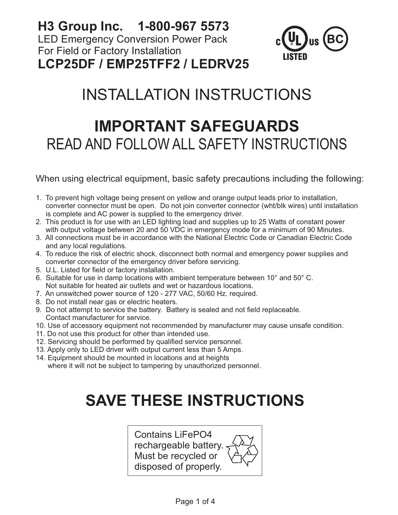**H3 Group Inc. 1-800-967 5573** LED Emergency Conversion Power Pack For Field or Factory Installation **LCP25DF / EMP25TFF2 / LEDRV25**



# INSTALLATION INSTRUCTIONS

## **IMPORTANT SAFEGUARDS** READ AND FOLLOW ALL SAFETY INSTRUCTIONS

When using electrical equipment, basic safety precautions including the following:

- 1. To prevent high voltage being present on yellow and orange output leads prior to installation, converter connector must be open. Do not join converter connector (wht/blk wires) until installation is complete and AC power is supplied to the emergency driver.
- 2. This product is for use with an LED lighting load and supplies up to 25 Watts of constant power with output voltage between 20 and 50 VDC in emergency mode for a minimum of 90 Minutes.
- 3. All connections must be in accordance with the National Electric Code or Canadian Electric Code and any local regulations.
- 4. To reduce the risk of electric shock, disconnect both normal and emergency power supplies and converter connector of the emergency driver before servicing.
- 5. U.L. Listed for field or factory installation.
- 6. Suitable for use in damp locations with ambient temperature between 10° and 50° C. Not suitable for heated air outlets and wet or hazardous locations.
- 7. An unswitched power source of 120 277 VAC, 50/60 Hz. required.
- 8. Do not install near gas or electric heaters.
- 9. Do not attempt to service the battery. Battery is sealed and not field replaceable. Contact manufacturer for service.
- 10. Use of accessory equipment not recommended by manufacturer may cause unsafe condition.
- 11. Do not use this product for other than intended use.
- 12. Servicing should be performed by qualified service personnel.
- 13. Apply only to LED driver with output current less than 5 Amps.
- 14. Equipment should be mounted in locations and at heights where it will not be subject to tampering by unauthorized personnel.

# **SAVE THESE INSTRUCTIONS**

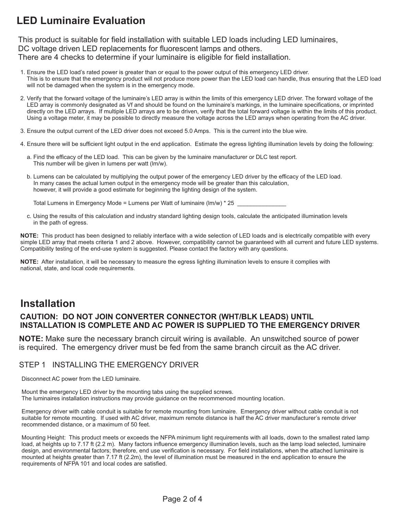## **LED Luminaire Evaluation**

This product is suitable for field installation with suitable LED loads including LED luminaires, DC voltage driven LED replacements for fluorescent lamps and others. There are 4 checks to determine if your luminaire is eligible for field installation.

- 1. Ensure the LED load's rated power is greater than or equal to the power output of this emergency LED driver. This is to ensure that the emergency product will not produce more power than the LED load can handle, thus ensuring that the LED load will not be damaged when the system is in the emergency mode.
- 2. Verify that the forward voltage of the luminaire's LED array is within the limits of this emergency LED driver. The forward voltage of the LED array is commonly designated as Vf and should be found on the luminaire's markings, in the luminaire specifications, or imprinted directly on the LED arrays. If multiple LED arrays are to be driven, verify that the total forward voltage is within the limits of this product. Using a voltage meter, it may be possible to directly measure the voltage across the LED arrays when operating from the AC driver.
- 3. Ensure the output current of the LED driver does not exceed 5.0 Amps. This is the current into the blue wire.
- 4. Ensure there will be sufficient light output in the end application. Estimate the egress lighting illumination levels by doing the following:
	- a. Find the efficacy of the LED load. This can be given by the luminaire manufacturer or DLC test report. This number will be given in lumens per watt (lm/w).
	- b. Lumens can be calculated by multiplying the output power of the emergency LED driver by the efficacy of the LED load. In many cases the actual lumen output in the emergency mode will be greater than this calculation, however, it will provide a good estimate for beginning the lighting design of the system.

Total Lumens in Emergency Mode = Lumens per Watt of luminaire (lm/w)  $*$  25

 c. Using the results of this calculation and industry standard lighting design tools, calculate the anticipated illumination levels in the path of egress.

**NOTE:** This product has been designed to reliably interface with a wide selection of LED loads and is electrically compatible with every simple LED array that meets criteria 1 and 2 above. However, compatibility cannot be guaranteed with all current and future LED systems. Compatibility testing of the end-use system is suggested. Please contact the factory with any questions.

**NOTE:** After installation, it will be necessary to measure the egress lighting illumination levels to ensure it complies with national, state, and local code requirements.

### **Installation**

#### **CAUTION: DO NOT JOIN CONVERTER CONNECTOR (WHT/BLK LEADS) UNTIL INSTALLATION IS COMPLETE AND AC POWER IS SUPPLIED TO THE EMERGENCY DRIVER**

**NOTE:** Make sure the necessary branch circuit wiring is available. An unswitched source of power is required. The emergency driver must be fed from the same branch circuit as the AC driver.

#### STEP 1 INSTALLING THE EMERGENCY DRIVER

Disconnect AC power from the LED luminaire.

Mount the emergency LED driver by the mounting tabs using the supplied screws. The luminaires installation instructions may provide guidance on the recommenced mounting location.

Emergency driver with cable conduit is suitable for remote mounting from luminaire. Emergency driver without cable conduit is not suitable for remote mounting. If used with AC driver, maximum remote distance is half the AC driver manufacturer's remote driver recommended distance, or a maximum of 50 feet.

Mounting Height: This product meets or exceeds the NFPA minimum light requirements with all loads, down to the smallest rated lamp load, at heights up to 7.17 ft (2.2 m). Many factors influence emergency illumination levels, such as the lamp load selected, luminaire design, and environmental factors; therefore, end use verification is necessary. For field installations, when the attached luminaire is mounted at heights greater than 7.17 ft (2.2m), the level of illumination must be measured in the end application to ensure the requirements of NFPA 101 and local codes are satisfied.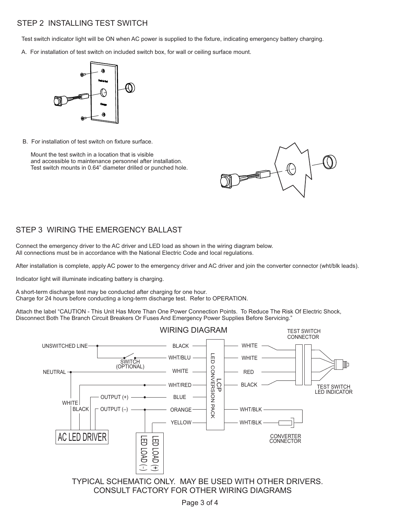#### STEP 2 INSTALLING TEST SWITCH

Test switch indicator light will be ON when AC power is supplied to the fixture, indicating emergency battery charging.

A. For installation of test switch on included switch box, for wall or ceiling surface mount.



B. For installation of test switch on fixture surface.

 Mount the test switch in a location that is visible and accessible to maintenance personnel after installation. Test switch mounts in 0.64" diameter drilled or punched hole.



#### STEP 3 WIRING THE EMERGENCY BALLAST

Connect the emergency driver to the AC driver and LED load as shown in the wiring diagram below. All connections must be in accordance with the National Electric Code and local regulations.

After installation is complete, apply AC power to the emergency driver and AC driver and join the converter connector (wht/blk leads).

Indicator light will illuminate indicating battery is charging.

A short-term discharge test may be conducted after charging for one hour. Charge for 24 hours before conducting a long-term discharge test. Refer to OPERATION.

Attach the label "CAUTION - This Unit Has More Than One Power Connection Points. To Reduce The Risk Of Electric Shock, Disconnect Both The Branch Circuit Breakers Or Fuses And Emergency Power Supplies Before Servicing."



TYPICAL SCHEMATIC ONLY. MAY BE USED WITH OTHER DRIVERS. CONSULT FACTORY FOR OTHER WIRING DIAGRAMS